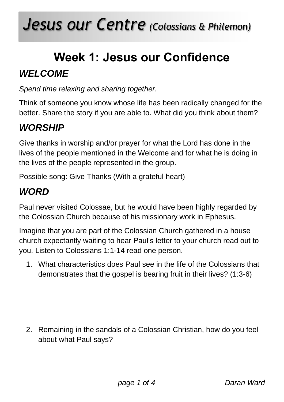# **Week 1: Jesus our Confidence**

#### *WELCOME*

*Spend time relaxing and sharing together.*

Think of someone you know whose life has been radically changed for the better. Share the story if you are able to. What did you think about them?

#### *WORSHIP*

Give thanks in worship and/or prayer for what the Lord has done in the lives of the people mentioned in the Welcome and for what he is doing in the lives of the people represented in the group.

Possible song: Give Thanks (With a grateful heart)

#### *WORD*

Paul never visited Colossae, but he would have been highly regarded by the Colossian Church because of his missionary work in Ephesus.

Imagine that you are part of the Colossian Church gathered in a house church expectantly waiting to hear Paul's letter to your church read out to you. Listen to Colossians 1:1-14 read one person.

1. What characteristics does Paul see in the life of the Colossians that demonstrates that the gospel is bearing fruit in their lives? (1:3-6)

2. Remaining in the sandals of a Colossian Christian, how do you feel about what Paul says?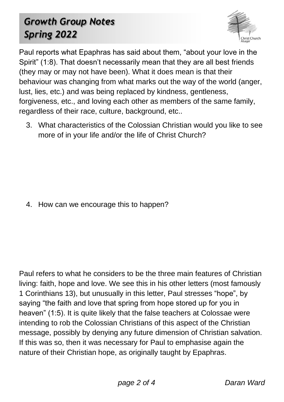### *Growth Group Notes Spring 2022*



Paul reports what Epaphras has said about them, "about your love in the Spirit" (1:8). That doesn't necessarily mean that they are all best friends (they may or may not have been). What it does mean is that their behaviour was changing from what marks out the way of the world (anger, lust, lies, etc.) and was being replaced by kindness, gentleness, forgiveness, etc., and loving each other as members of the same family, regardless of their race, culture, background, etc..

3. What characteristics of the Colossian Christian would you like to see more of in your life and/or the life of Christ Church?

4. How can we encourage this to happen?

Paul refers to what he considers to be the three main features of Christian living: faith, hope and love. We see this in his other letters (most famously 1 Corinthians 13), but unusually in this letter, Paul stresses "hope", by saying "the faith and love that spring from hope stored up for you in heaven" (1:5). It is quite likely that the false teachers at Colossae were intending to rob the Colossian Christians of this aspect of the Christian message, possibly by denying any future dimension of Christian salvation. If this was so, then it was necessary for Paul to emphasise again the nature of their Christian hope, as originally taught by Epaphras.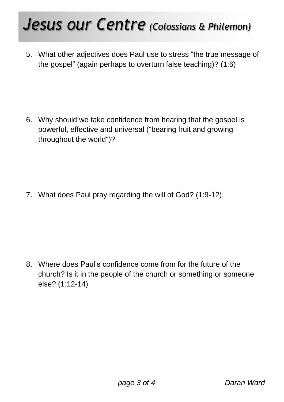## *Jesus our Centre (Colossians & Philemon)*

5. What other adjectives does Paul use to stress "the true message of the gospel" (again perhaps to overturn false teaching)? (1:6)

6. Why should we take confidence from hearing that the gospel is powerful, effective and universal ("bearing fruit and growing throughout the world")?

7. What does Paul pray regarding the will of God? (1:9-12)

8. Where does Paul's confidence come from for the future of the church? Is it in the people of the church or something or someone else? (1:12-14)